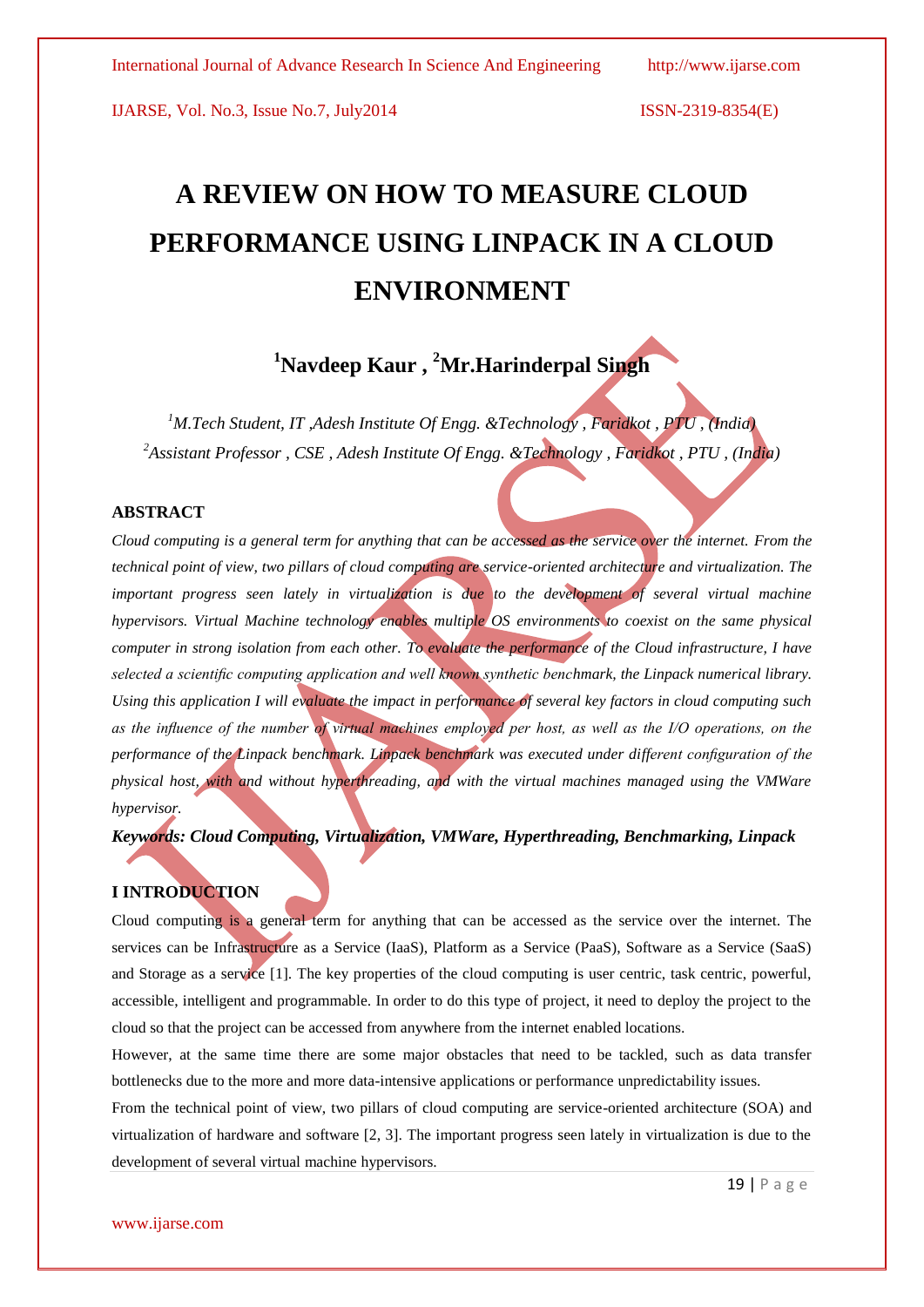# **A REVIEW ON HOW TO MEASURE CLOUD PERFORMANCE USING LINPACK IN A CLOUD ENVIRONMENT**

## **<sup>1</sup>Navdeep Kaur , <sup>2</sup>Mr.Harinderpal Singh**

*<sup>1</sup>M.Tech Student, IT ,Adesh Institute Of Engg. &Technology , Faridkot , PTU , (India) <sup>2</sup>Assistant Professor , CSE , Adesh Institute Of Engg. &Technology , Faridkot , PTU , (India)*

#### **ABSTRACT**

*Cloud computing is a general term for anything that can be accessed as the service over the internet. From the technical point of view, two pillars of cloud computing are service-oriented architecture and virtualization. The important progress seen lately in virtualization is due to the development of several virtual machine hypervisors. Virtual Machine technology enables multiple OS environments to coexist on the same physical computer in strong isolation from each other. To evaluate the performance of the Cloud infrastructure, I have selected a scientific computing application and well known synthetic benchmark, the Linpack numerical library. Using this application I will evaluate the impact in performance of several key factors in cloud computing such as the influence of the number of virtual machines employed per host, as well as the I/O operations, on the performance of the Linpack benchmark. Linpack benchmark was executed under different configuration of the physical host, with and without hyperthreading, and with the virtual machines managed using the VMWare hypervisor.* 

*Keywords: Cloud Computing, Virtualization, VMWare, Hyperthreading, Benchmarking, Linpack*

#### **I INTRODUCTION**

Cloud computing is a general term for anything that can be accessed as the service over the internet. The services can be Infrastructure as a Service (IaaS), Platform as a Service (PaaS), Software as a Service (SaaS) and Storage as a service [1]. The key properties of the cloud computing is user centric, task centric, powerful, accessible, intelligent and programmable. In order to do this type of project, it need to deploy the project to the cloud so that the project can be accessed from anywhere from the internet enabled locations.

However, at the same time there are some major obstacles that need to be tackled, such as data transfer bottlenecks due to the more and more data-intensive applications or performance unpredictability issues.

From the technical point of view, two pillars of cloud computing are service-oriented architecture (SOA) and virtualization of hardware and software [2, 3]. The important progress seen lately in virtualization is due to the development of several virtual machine hypervisors.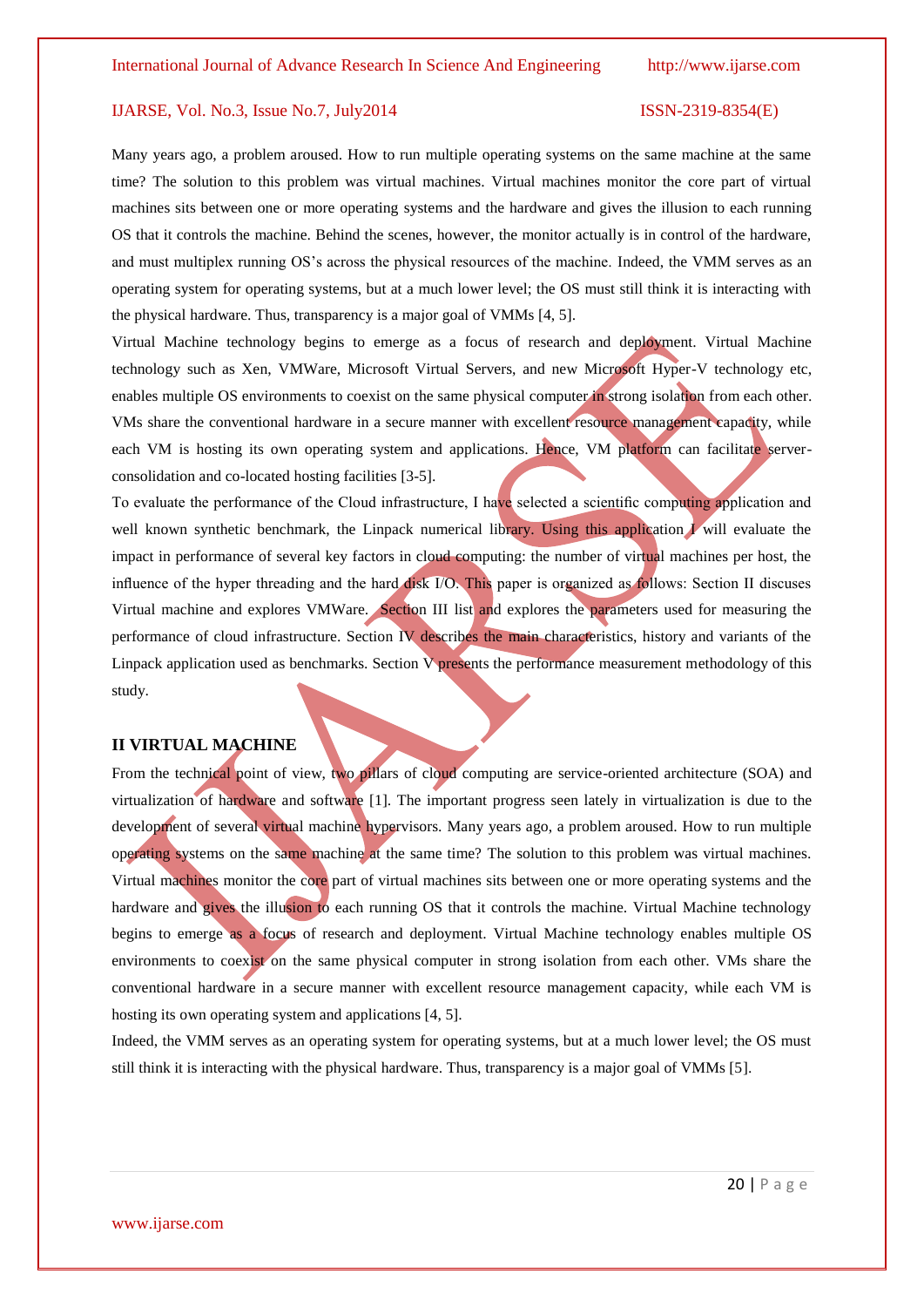Many years ago, a problem aroused. How to run multiple operating systems on the same machine at the same time? The solution to this problem was virtual machines. Virtual machines monitor the core part of virtual machines sits between one or more operating systems and the hardware and gives the illusion to each running OS that it controls the machine. Behind the scenes, however, the monitor actually is in control of the hardware, and must multiplex running OS's across the physical resources of the machine. Indeed, the VMM serves as an operating system for operating systems, but at a much lower level; the OS must still think it is interacting with the physical hardware. Thus, transparency is a major goal of VMMs [4, 5].

Virtual Machine technology begins to emerge as a focus of research and deployment. Virtual Machine technology such as Xen, VMWare, Microsoft Virtual Servers, and new Microsoft Hyper-V technology etc, enables multiple OS environments to coexist on the same physical computer in strong isolation from each other. VMs share the conventional hardware in a secure manner with excellent resource management capacity, while each VM is hosting its own operating system and applications. Hence, VM platform can facilitate serverconsolidation and co-located hosting facilities [3-5].

To evaluate the performance of the Cloud infrastructure, I have selected a scientific computing application and well known synthetic benchmark, the Linpack numerical library. Using this application I will evaluate the impact in performance of several key factors in cloud computing: the number of virtual machines per host, the influence of the hyper threading and the hard disk I/O. This paper is organized as follows: Section II discuses Virtual machine and explores VMWare. Section III list and explores the parameters used for measuring the performance of cloud infrastructure. Section IV describes the main characteristics, history and variants of the Linpack application used as benchmarks. Section  $V$  presents the performance measurement methodology of this study.

#### **II VIRTUAL MACHINE**

From the technical point of view, two pillars of cloud computing are service-oriented architecture (SOA) and virtualization of hardware and software [1]. The important progress seen lately in virtualization is due to the development of several virtual machine hypervisors. Many years ago, a problem aroused. How to run multiple operating systems on the same machine at the same time? The solution to this problem was virtual machines. Virtual machines monitor the core part of virtual machines sits between one or more operating systems and the hardware and gives the illusion to each running OS that it controls the machine. Virtual Machine technology begins to emerge as a focus of research and deployment. Virtual Machine technology enables multiple OS environments to coexist on the same physical computer in strong isolation from each other. VMs share the conventional hardware in a secure manner with excellent resource management capacity, while each VM is hosting its own operating system and applications [4, 5].

Indeed, the VMM serves as an operating system for operating systems, but at a much lower level; the OS must still think it is interacting with the physical hardware. Thus, transparency is a major goal of VMMs [5].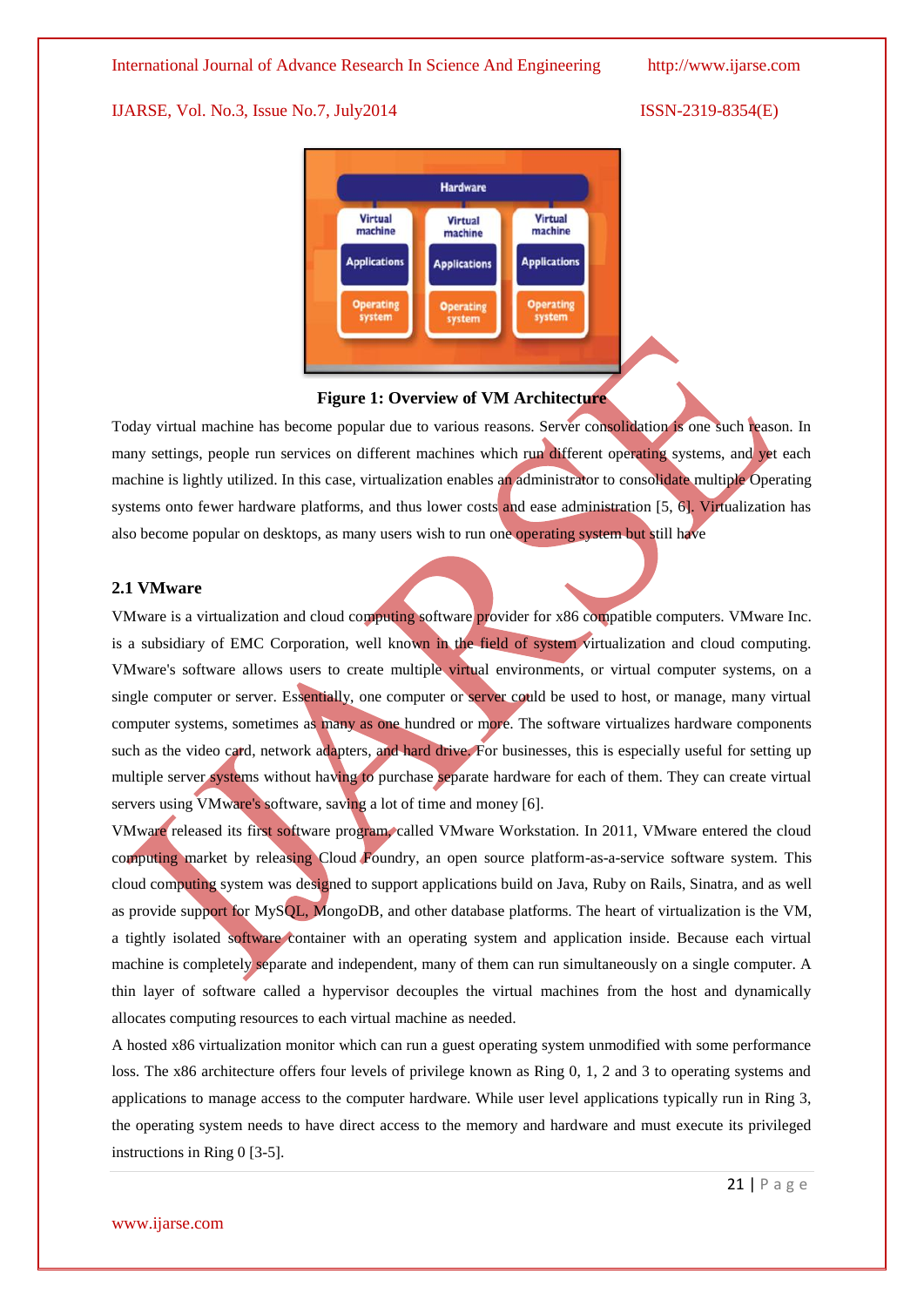

#### **Figure 1: Overview of VM Architecture**

Today virtual machine has become popular due to various reasons. Server consolidation is one such reason. In many settings, people run services on different machines which run different operating systems, and yet each machine is lightly utilized. In this case, virtualization enables an administrator to consolidate multiple Operating systems onto fewer hardware platforms, and thus lower costs and ease administration [5, 6]. Virtualization has also become popular on desktops, as many users wish to run one operating system but still have

#### **2.1 VMware**

VMware is a [virtualization](http://searchservervirtualization.techtarget.com/definition/virtualization) and [cloud computing](http://searchcloudcomputing.techtarget.com/definition/cloud-computing) software provider for [x86](http://searchwinit.techtarget.com/definition/x86) compatible computers. VMware Inc. is a subsidiary of EMC Corporation, well known in the field of system virtualization and cloud computing. VMware's software allows users to create multiple virtual environments, or virtual computer systems, on a single computer or server. Essentially, one computer or server could be used to host, or manage, many virtual computer systems, sometimes as many as one hundred or more. The software virtualizes hardware components such as the [video card,](http://www.computerhope.com/jargon/v/videadap.htm) [network adapters,](http://www.computerhope.com/jargon/n/nic.htm) and [hard drive.](http://www.computerhope.com/jargon/h/harddriv.htm) For businesses, this is especially useful for setting up multiple server systems without having to purchase separate hardware for each of them. They can create virtual servers using VMware's software, saving a lot of time and money [6].

VMware released its first software program, called VMware Workstation. In 2011, VMware entered the cloud computing market by releasing Cloud Foundry, an open source platform-as-a-service software system. This cloud computing system was designed to support applications build on [Java,](http://www.computerhope.com/jargon/j/java.htm) [Ruby on Rails,](http://www.computerhope.com/jargon/r/ruby.htm) Sinatra, and as well as provide support for [MySQL,](http://www.computerhope.com/jargon/m/mysql.htm) MongoDB, and other database platforms. The heart of virtualization is the VM, a tightly isolated software container with an operating system and application inside. Because each virtual machine is completely separate and independent, many of them can run simultaneously on a single computer. A thin layer of software called a hypervisor decouples the virtual machines from the host and dynamically allocates computing resources to each virtual machine as needed.

A hosted x86 virtualization monitor which can run a guest operating system unmodified with some performance loss. The x86 architecture offers four levels of privilege known as Ring 0, 1, 2 and 3 to operating systems and applications to manage access to the computer hardware. While user level applications typically run in Ring 3, the operating system needs to have direct access to the memory and hardware and must execute its privileged instructions in Ring 0 [3-5].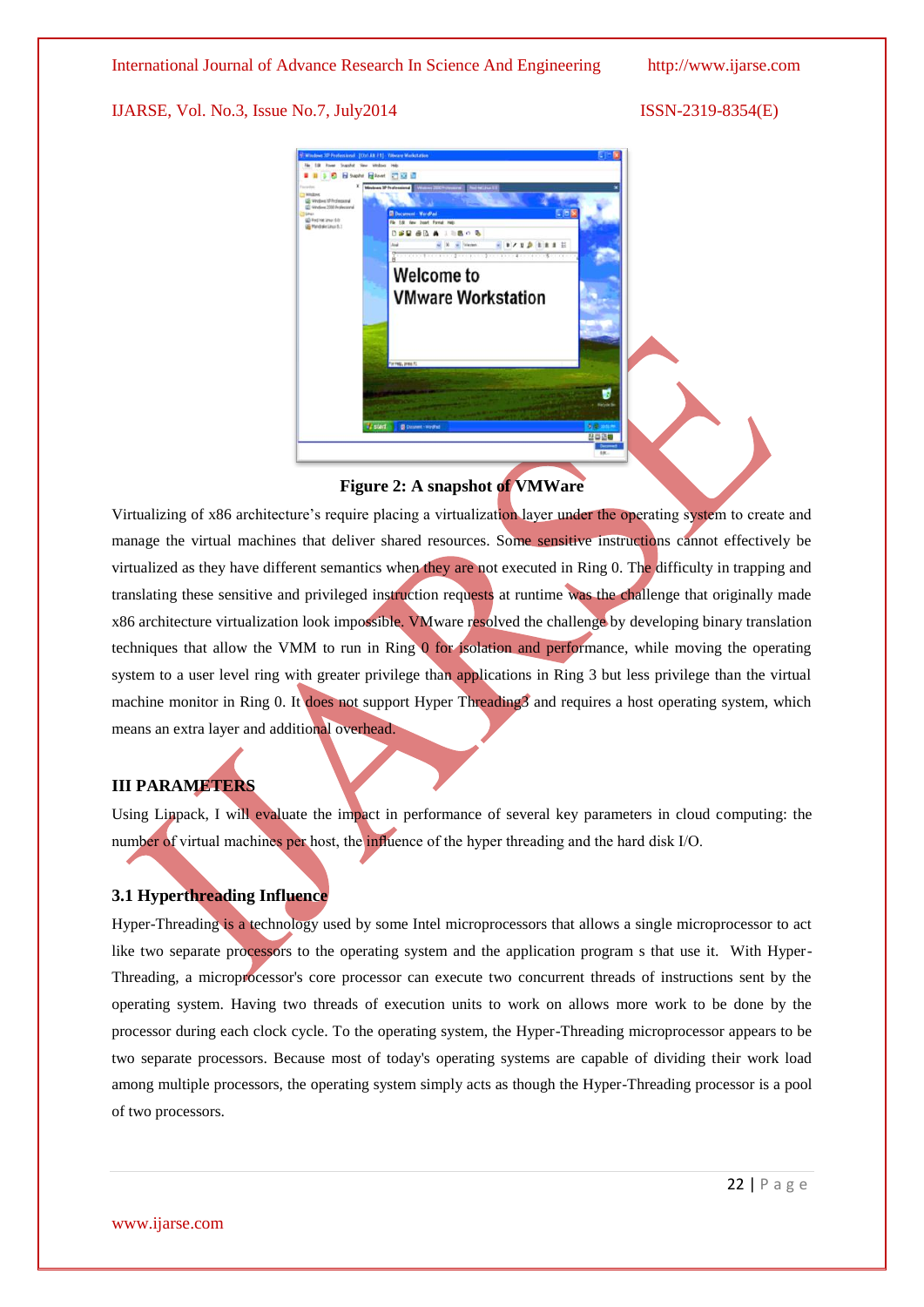

#### **Figure 2: A snapshot of VMWare**

Virtualizing of x86 architecture's require placing a virtualization layer under the operating system to create and manage the virtual machines that deliver shared resources. Some sensitive instructions cannot effectively be virtualized as they have different semantics when they are not executed in Ring 0. The difficulty in trapping and translating these sensitive and privileged instruction requests at runtime was the challenge that originally made x86 architecture virtualization look impossible. VMware resolved the challenge by developing binary translation techniques that allow the VMM to run in Ring 0 for isolation and performance, while moving the operating system to a user level ring with greater privilege than applications in Ring 3 but less privilege than the virtual machine monitor in Ring 0. It does not support Hyper Threading3 and requires a host operating system, which means an extra layer and additional overhead.

#### **III PARAMETERS**

Using Linpack, I will evaluate the impact in performance of several key parameters in cloud computing: the number of virtual machines per host, the influence of the hyper threading and the hard disk I/O.

#### **3.1 Hyperthreading Influence**

Hyper-Threading is a technology used by some Intel microprocessors that allows a single microprocessor to act like two separate processors to the operating system and the application program s that use it. With Hyper-Threading, a microprocessor's core processor can execute two concurrent threads of instructions sent by the operating system. Having two threads of execution units to work on allows more work to be done by the processor during each clock cycle. To the operating system, the Hyper-Threading microprocessor appears to be two separate processors. Because most of today's operating systems are capable of dividing their work load among multiple processors, the operating system simply acts as though the Hyper-Threading processor is a pool of two processors.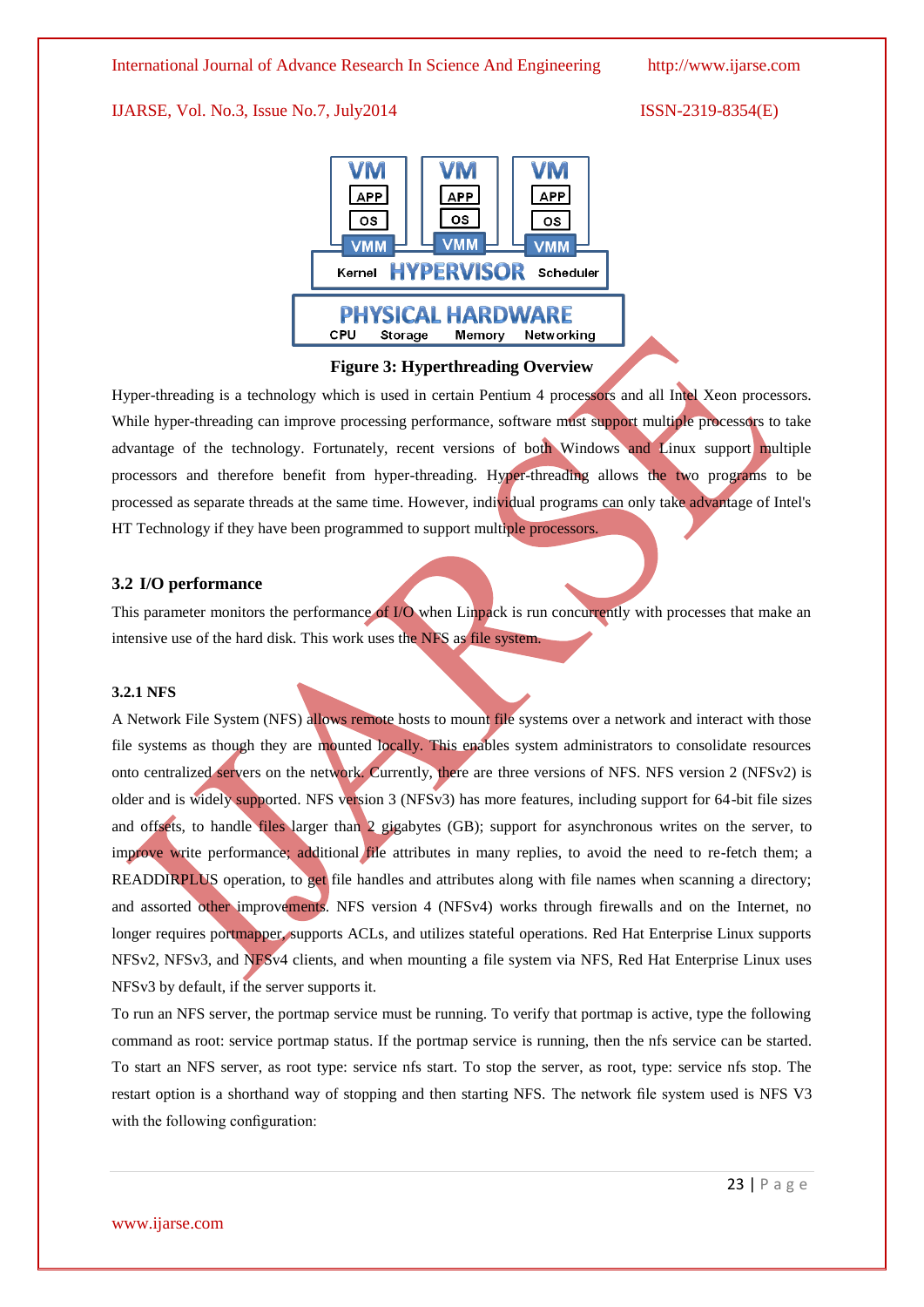International Journal of Advance Research In Science And Engineering http://www.ijarse.com

### IJARSE, Vol. No.3, Issue No.7, July2014 ISSN-2319-8354(E)



### **Figure 3: Hyperthreading Overview**

Hyper-threading is a technology which is used in certain Pentium 4 processors and all Intel Xeon processors. While hyper-threading can improve processing performance, software must support multiple processors to take advantage of the technology. Fortunately, recent versions of both Windows and Linux support multiple processors and therefore benefit from hyper-threading. Hyper-threading allows the two programs to be processed as separate threads at the same time. However, individual programs can only take advantage of Intel's HT Technology if they have been programmed to support multiple processors.

### **3.2 I/O performance**

This parameter monitors the performance of I/O when Linpack is run concurrently with processes that make an intensive use of the hard disk. This work uses the NFS as file system.

#### **3.2.1 NFS**

A Network File System (NFS) allows remote hosts to mount file systems over a network and interact with those file systems as though they are mounted locally. This enables system administrators to consolidate resources onto centralized servers on the network. Currently, there are three versions of NFS. NFS version 2 (NFSv2) is older and is widely supported. NFS version 3 (NFSv3) has more features, including support for 64-bit file sizes and offsets, to handle files larger than 2 gigabytes (GB); support for asynchronous writes on the server, to improve write performance; additional file attributes in many replies, to avoid the need to re-fetch them; a READDIRPLUS operation, to get file handles and attributes along with file names when scanning a directory; and assorted other improvements. NFS version 4 (NFSv4) works through firewalls and on the Internet, no longer requires portmapper, supports ACLs, and utilizes stateful operations. Red Hat Enterprise Linux supports NFSv2, NFSv3, and NFSv4 clients, and when mounting a file system via NFS, Red Hat Enterprise Linux uses NFSv3 by default, if the server supports it.

To run an NFS server, the portmap service must be running. To verify that portmap is active, type the following command as root: service portmap status. If the portmap service is running, then the nfs service can be started. To start an NFS server, as root type: service nfs start. To stop the server, as root, type: service nfs stop. The restart option is a shorthand way of stopping and then starting NFS. The network file system used is NFS V3 with the following configuration: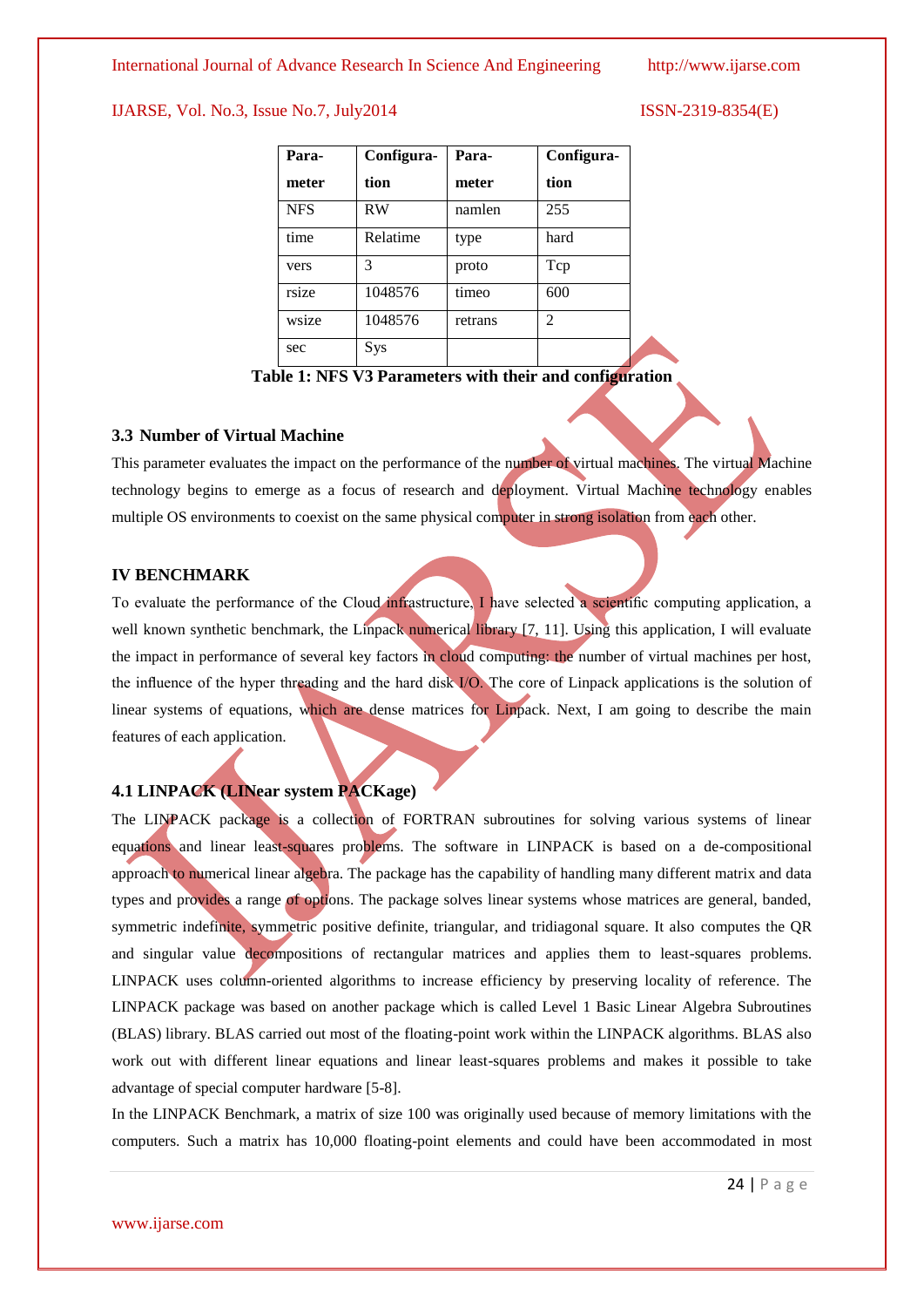| Para-      | Configura- | Para-   | Configura-     |  |
|------------|------------|---------|----------------|--|
| meter      | tion       | meter   | tion           |  |
| <b>NFS</b> | RW         | namlen  | 255            |  |
| time       | Relatime   | type    | hard           |  |
| vers       | 3          | proto   | Tcp            |  |
| rsize      | 1048576    | timeo   | 600            |  |
| wsize      | 1048576    | retrans | $\mathfrak{D}$ |  |
| sec        | Sys        |         |                |  |

**Table 1: NFS V3 Parameters with their and configuration**

#### **3.3 Number of Virtual Machine**

This parameter evaluates the impact on the performance of the number of virtual machines. The virtual Machine technology begins to emerge as a focus of research and deployment. Virtual Machine technology enables multiple OS environments to coexist on the same physical computer in strong isolation from each other.

#### **IV BENCHMARK**

To evaluate the performance of the Cloud infrastructure, I have selected a scientific computing application, a well known synthetic benchmark, the Linpack numerical library [7, 11]. Using this application, I will evaluate the impact in performance of several key factors in cloud computing: the number of virtual machines per host, the influence of the hyper threading and the hard disk I/O. The core of Linpack applications is the solution of linear systems of equations, which are dense matrices for Linpack. Next, I am going to describe the main features of each application.

### **4.1 LINPACK (LINear system PACKage)**

The LINPACK package is a collection of FORTRAN subroutines for solving various systems of linear equations and linear least-squares problems. The software in LINPACK is based on a de-compositional approach to numerical linear algebra. The package has the capability of handling many different matrix and data types and provides a range of options. The package solves linear systems whose matrices are general, banded, symmetric indefinite, symmetric positive definite, triangular, and tridiagonal square. It also computes the QR and singular value decompositions of rectangular matrices and applies them to least-squares problems. LINPACK uses column-oriented algorithms to increase efficiency by preserving locality of reference. The LINPACK package was based on another package which is called Level 1 Basic Linear Algebra Subroutines (BLAS) library. BLAS carried out most of the floating-point work within the LINPACK algorithms. BLAS also work out with different linear equations and linear least-squares problems and makes it possible to take advantage of special computer hardware [5-8].

In the LINPACK Benchmark, a matrix of size 100 was originally used because of memory limitations with the computers. Such a matrix has 10,000 floating-point elements and could have been accommodated in most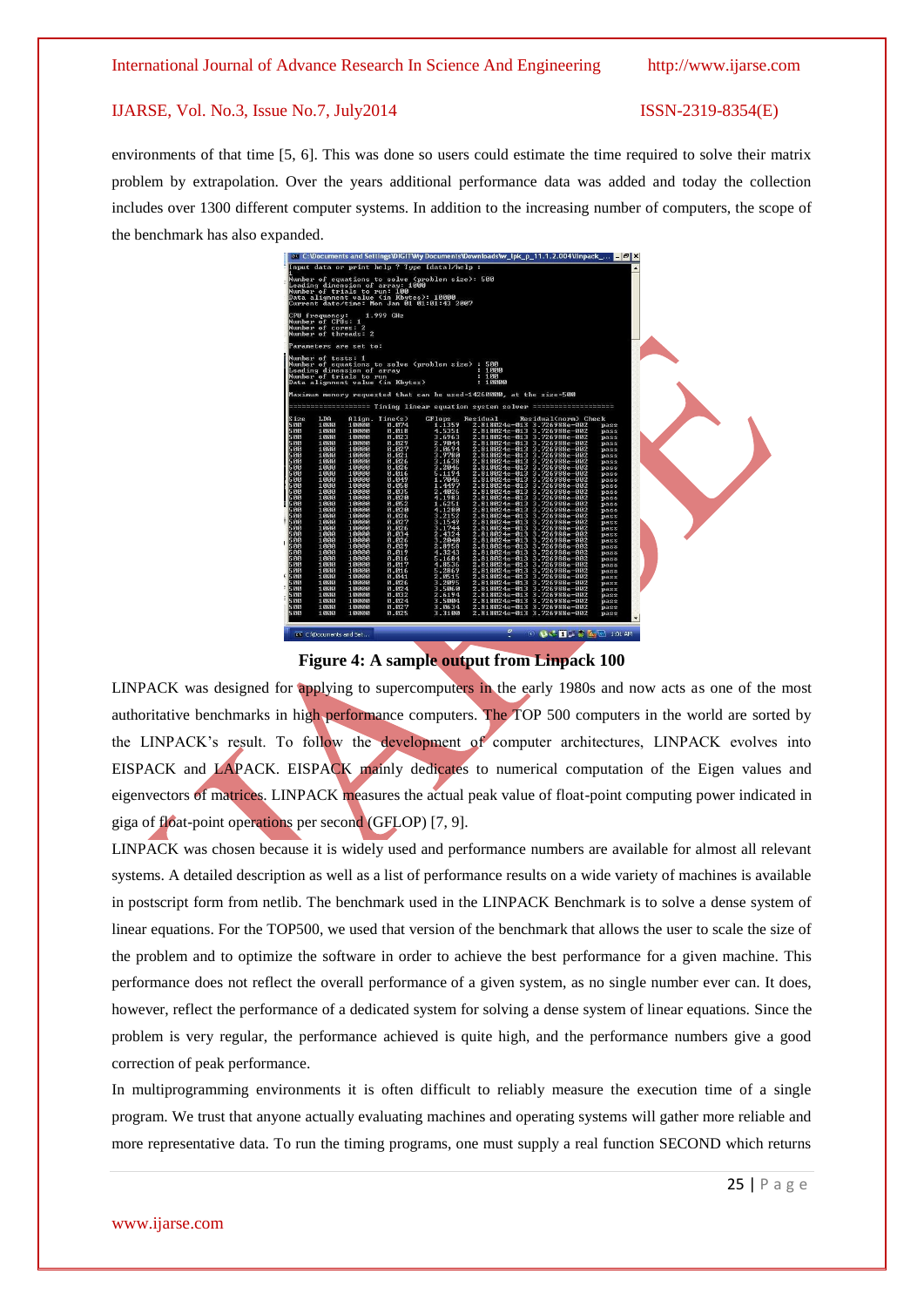environments of that time [5, 6]. This was done so users could estimate the time required to solve their matrix problem by extrapolation. Over the years additional performance data was added and today the collection includes over 1300 different computer systems. In addition to the increasing number of computers, the scope of the benchmark has also expanded.

|                   |                                     |                            |                                                                         | Number of equations to solve (problem size): 500  |                                                                          |                                    |              |  |
|-------------------|-------------------------------------|----------------------------|-------------------------------------------------------------------------|---------------------------------------------------|--------------------------------------------------------------------------|------------------------------------|--------------|--|
|                   |                                     |                            | Leading dimension of array: 1000                                        |                                                   |                                                                          |                                    |              |  |
|                   |                                     |                            | Number of trials to run: 100<br>Data alignment value (in Kbytes): 10000 |                                                   |                                                                          |                                    |              |  |
|                   |                                     |                            |                                                                         | Current date/time: Mon Jan 01 01:01:43 2007       |                                                                          |                                    |              |  |
|                   |                                     |                            |                                                                         |                                                   |                                                                          |                                    |              |  |
|                   | CPU frequency:<br>Number of CPUs: 1 |                            | 1.999 GHz                                                               |                                                   |                                                                          |                                    |              |  |
|                   | Number of cores: 2                  |                            |                                                                         |                                                   |                                                                          |                                    |              |  |
|                   |                                     | Number of threads: 2       |                                                                         |                                                   |                                                                          |                                    |              |  |
|                   |                                     | Parameters are set to:     |                                                                         |                                                   |                                                                          |                                    |              |  |
|                   |                                     |                            |                                                                         |                                                   |                                                                          |                                    |              |  |
|                   | Number of tests: 1                  |                            |                                                                         | Number of equations to solve (problem size) : 500 |                                                                          |                                    |              |  |
|                   |                                     | Leading dimension of array |                                                                         |                                                   | : 1000                                                                   |                                    |              |  |
|                   |                                     | Number of trials to run    |                                                                         |                                                   | : 100                                                                    |                                    |              |  |
|                   |                                     |                            | Data alignment value (in Kbytes)                                        |                                                   | : 10000                                                                  |                                    |              |  |
|                   |                                     |                            |                                                                         |                                                   | Maximum memory requested that can be used=14260000, at the size=500      |                                    |              |  |
|                   |                                     |                            |                                                                         |                                                   |                                                                          |                                    |              |  |
|                   |                                     |                            |                                                                         |                                                   | essessessessesses Timing linear equation system solver essessessessesses |                                    |              |  |
| Size              | LDA                                 |                            | Align. Time(s)                                                          | GFlops                                            | Residual                                                                 | Residual(norm) Check               |              |  |
| 500<br>500        | 1000<br>1000                        | 10000<br>10000             | 0.074<br>0.018                                                          | 1.1359<br>4.5351                                  | 2.818024e-013 3.726988e-002<br>2.818024e-013 3.726988e-002               |                                    | pass         |  |
| 500               | 1000                                | 10000                      | 0.023                                                                   | 3.6963                                            | 2.818024e-013 3.726988e-002                                              |                                    | pass<br>pass |  |
| 500               | 1000                                | 10000                      | 0.029                                                                   | 2.9044                                            | 2.818024e-013                                                            | 3.726988e-002                      | pass         |  |
| 500               | 1000                                | 10000                      | 0.027                                                                   | 3.0694                                            | 2.818024e-013                                                            | 3.726988e-002                      | pass         |  |
| 500               | 1000                                | 10000                      | 0.021                                                                   | 3.9780                                            | 2.818024e-013                                                            | 3.726988e-002                      | pass         |  |
| 500<br>500        | 1000<br>1000                        | 10000<br>10000             | 0.026<br>0.026                                                          | 3.1638<br>3.2046                                  | 2.818024e-013<br>2.818024e-013                                           | 3.726988e-002<br>3.726988e-002     | pass<br>pass |  |
| 500               | 1000                                | 10000                      | 0.016                                                                   | 5.1194                                            | 2.818024e-013 3.726988e-002                                              |                                    | pass         |  |
| 500               | 1000                                | 10000                      | 0.049                                                                   | 1.7046                                            | 2.818024e-013 3.726988e-002                                              |                                    | pass         |  |
| 500               | 1000                                | 10000                      | 0.058                                                                   | 1.4497                                            | 2.818024e-013                                                            | 3.726988e-002                      | pass         |  |
| 500<br>500        | 1000<br>1000                        | 10000<br>10000             | 0.035<br>0.020                                                          | 2.4026<br>4.1983                                  | $2.818024e - 013$<br>2.818024e-013                                       | $3.726988e - 002$<br>3.726988e-002 | pass<br>pass |  |
| 500               | 1000                                | 10000                      | 0.052                                                                   | 1.6251                                            | 2.818024e-013                                                            | 3.726988e-002                      | pass         |  |
| 500               | 1000                                | 10000                      | 0.020                                                                   | 4.1280                                            | 2.818024e-013                                                            | 3.726988e-002                      | pass         |  |
| 500               | 1000                                | 10000                      | 0.026                                                                   | 3.2152                                            | 2.818024e-013 3.726988e-002                                              |                                    | pass         |  |
| 500<br>500        | 1000<br>1000                        | 10000<br>10000             | 0.027<br>0.026                                                          | 3.1549<br>3.1744                                  | 2.818024e-013 3.726988e-002<br>2.818024e-013                             | 3.726988e-002                      | pass<br>pass |  |
| 500               | 1000                                | 10000                      | 0.034                                                                   | 2.4324                                            | $2.818024e - 013$                                                        | $3.726988e - 002$                  | pass         |  |
| 500               | 1000                                | 10000                      | 0.026                                                                   | 3.2040                                            | 2.818024e-013                                                            | 3.726988e-002                      | pass         |  |
| 500               | 1000                                | 10000                      | 0.029                                                                   | 2.8958                                            | 2.818024e-013                                                            | 3.726988e-002                      | pass         |  |
| 500<br>500        | 1000<br>1000                        | 10000<br>10000             | 0.019<br>0.016                                                          | 4.3243<br>5.1684                                  | 2.818024e-013<br>2.818024e-013 3.726988e-002                             | 3.726988e-002                      | pass<br>pass |  |
| 500               | 1000                                | 10000                      | 0.017                                                                   | 4.8536                                            | 2.818024e-013 3.726988e-002                                              |                                    | pass         |  |
| 500               | 1000                                | 10000                      | 0.016                                                                   | 5.2869                                            | $2.818024e - 013$                                                        | 3.726988e-002                      | pass         |  |
| 500               | 1000                                | 10000                      | 0.041                                                                   | 2.0515                                            | $2.818024e - 013$                                                        | $3.726988e - 002$                  | pass         |  |
| 500               | 1000                                | 10000                      | 0.026<br>0.024                                                          | 3.2095<br>3.5060                                  | 2.818024e-013<br>2.818024e-013                                           | 3.726988e-002                      | pass         |  |
|                   | 1000<br>1000                        | 10000<br>10000             | 0.032                                                                   | 2.6194                                            | 2.818024e-013                                                            | 3.726988e-002<br>3.726988e-002     | pass<br>pass |  |
|                   |                                     | 10000                      | 0.024                                                                   | 3.5004                                            | 2.818024e-013 3.726988e-002                                              |                                    | pass         |  |
| 500<br>500<br>500 | 1000                                |                            |                                                                         |                                                   | 2.818024e-013 3.726988e-002                                              |                                    |              |  |
| 500<br>5 ИИ       | 1000<br>1000                        | 10000<br>10000             | 0.027<br>0.025                                                          | 3.0634<br>3.3100                                  | 2.818024e-013 3.726988e-002                                              |                                    | pass<br>pass |  |

**Figure 4: A sample output from Linpack 100**

LINPACK was designed for applying to supercomputers in the early 1980s and now acts as one of the most authoritative benchmarks in high performance computers. The TOP 500 computers in the world are sorted by the LINPACK's result. To follow the development of computer architectures, LINPACK evolves into EISPACK and LAPACK. EISPACK mainly dedicates to numerical computation of the Eigen values and eigenvectors of matrices. LINPACK measures the actual peak value of float-point computing power indicated in giga of float-point operations per second (GFLOP) [7, 9].

LINPACK was chosen because it is widely used and performance numbers are available for almost all relevant systems. A detailed description as well as a list of performance results on a wide variety of machines is available in postscript form from netlib. The benchmark used in the LINPACK Benchmark is to solve a dense system of linear equations. For the TOP500, we used that version of the benchmark that allows the user to scale the size of the problem and to optimize the software in order to achieve the best performance for a given machine. This performance does not reflect the overall performance of a given system, as no single number ever can. It does, however, reflect the performance of a dedicated system for solving a dense system of linear equations. Since the problem is very regular, the performance achieved is quite high, and the performance numbers give a good correction of peak performance.

In multiprogramming environments it is often difficult to reliably measure the execution time of a single program. We trust that anyone actually evaluating machines and operating systems will gather more reliable and more representative data. To run the timing programs, one must supply a real function SECOND which returns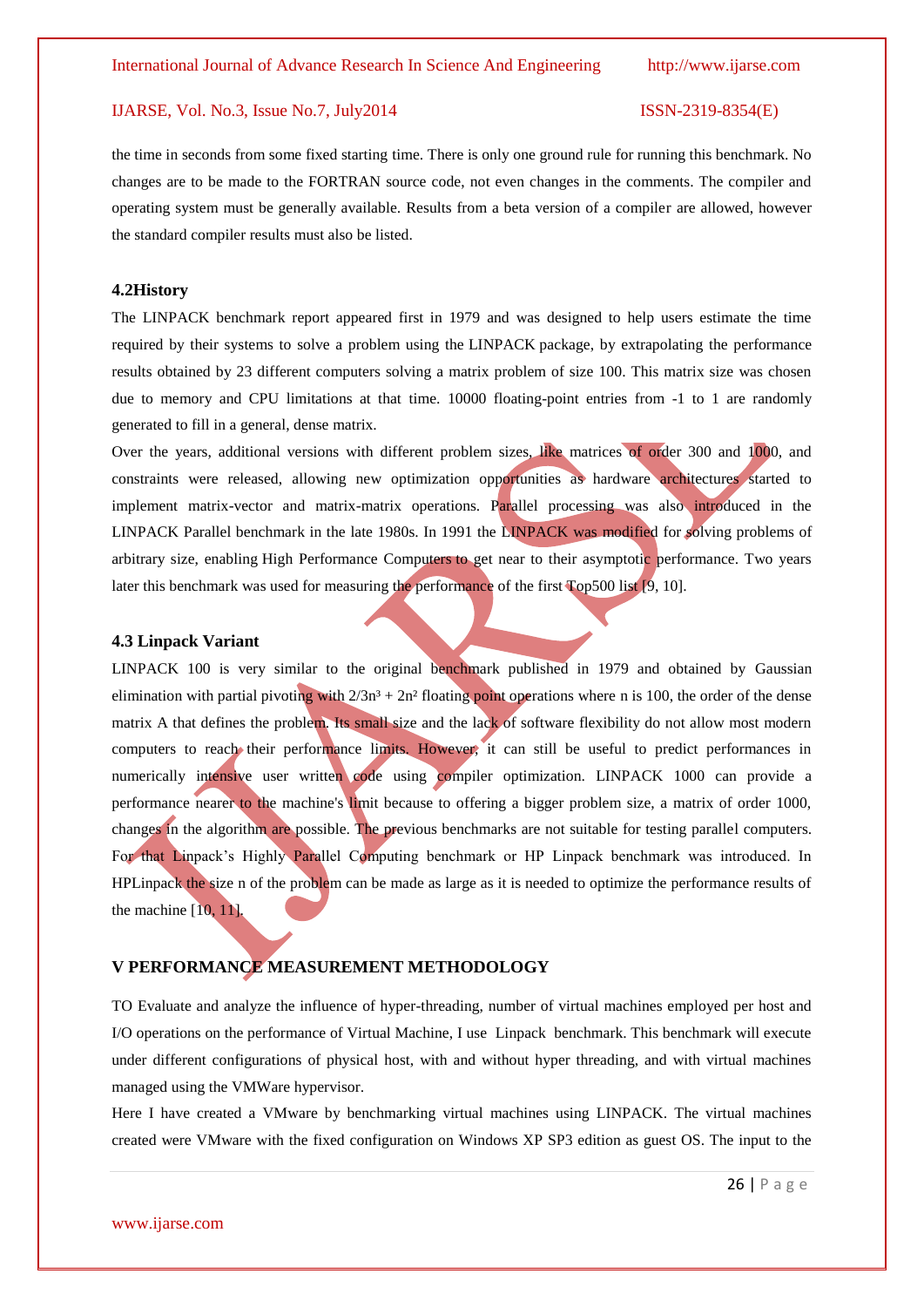the time in seconds from some fixed starting time. There is only one ground rule for running this benchmark. No changes are to be made to the FORTRAN source code, not even changes in the comments. The compiler and operating system must be generally available. Results from a beta version of a compiler are allowed, however the standard compiler results must also be listed.

#### **4.2History**

The LINPACK benchmark report appeared first in 1979 and was designed to help users estimate the time required by their systems to solve a problem using the [LINPACK](http://en.wikipedia.org/wiki/LINPACK) package, by extrapolating the performance results obtained by 23 different computers solving a matrix problem of size 100. This matrix size was chosen due to memory and CPU limitations at that time. 10000 floating-point entries from -1 to 1 are randomly generated to fill in a general, dense matrix.

Over the years, additional versions with different problem sizes, like matrices of order 300 and 1000, and constraints were released, allowing new optimization opportunities as hardware architectures started to implement matrix-vector and matrix-matrix operations. Parallel processing was also introduced in the LINPACK Parallel benchmark in the late 1980s. In 1991 the LINPACK was modified for solving problems of arbitrary size, enabling [High Performance Computers](http://en.wikipedia.org/wiki/Supercomputer) to get near to their asymptotic performance. Two years later this benchmark was used for measuring the performance of the first [Top500](http://en.wikipedia.org/wiki/Top500) list [9, 10].

#### **4.3 Linpack Variant**

LINPACK 100 is very similar to the original benchmark published in 1979 and obtained by [Gaussian](http://en.wikipedia.org/wiki/Gaussian_elimination)  [elimination](http://en.wikipedia.org/wiki/Gaussian_elimination) with [partial pivoting](http://en.wikipedia.org/wiki/Pivot_element) with  $2/3n^3 + 2n^2$  floating point operations where n is 100, the order of the dense matrix A that defines the problem. Its small size and the lack of software flexibility do not allow most modern computers to reach their performance limits. However, it can still be useful to predict performances in numerically intensive user written code using compiler optimization. LINPACK 1000 can provide a performance nearer to the machine's limit because to offering a bigger problem size, a matrix of order 1000, changes in the algorithm are possible. The previous benchmarks are not suitable for testing parallel computers. For that Linpack's Highly Parallel Computing benchmark or HP Linpack benchmark was introduced. In HPLinpack the size n of the problem can be made as large as it is needed to optimize the performance results of the machine [10, 11].

#### **V PERFORMANCE MEASUREMENT METHODOLOGY**

TO Evaluate and analyze the influence of hyper-threading, number of virtual machines employed per host and I/O operations on the performance of Virtual Machine, I use Linpack benchmark. This benchmark will execute under different configurations of physical host, with and without hyper threading, and with virtual machines managed using the VMWare hypervisor.

Here I have created a VMware by benchmarking virtual machines using LINPACK. The virtual machines created were VMware with the fixed configuration on Windows XP SP3 edition as guest OS. The input to the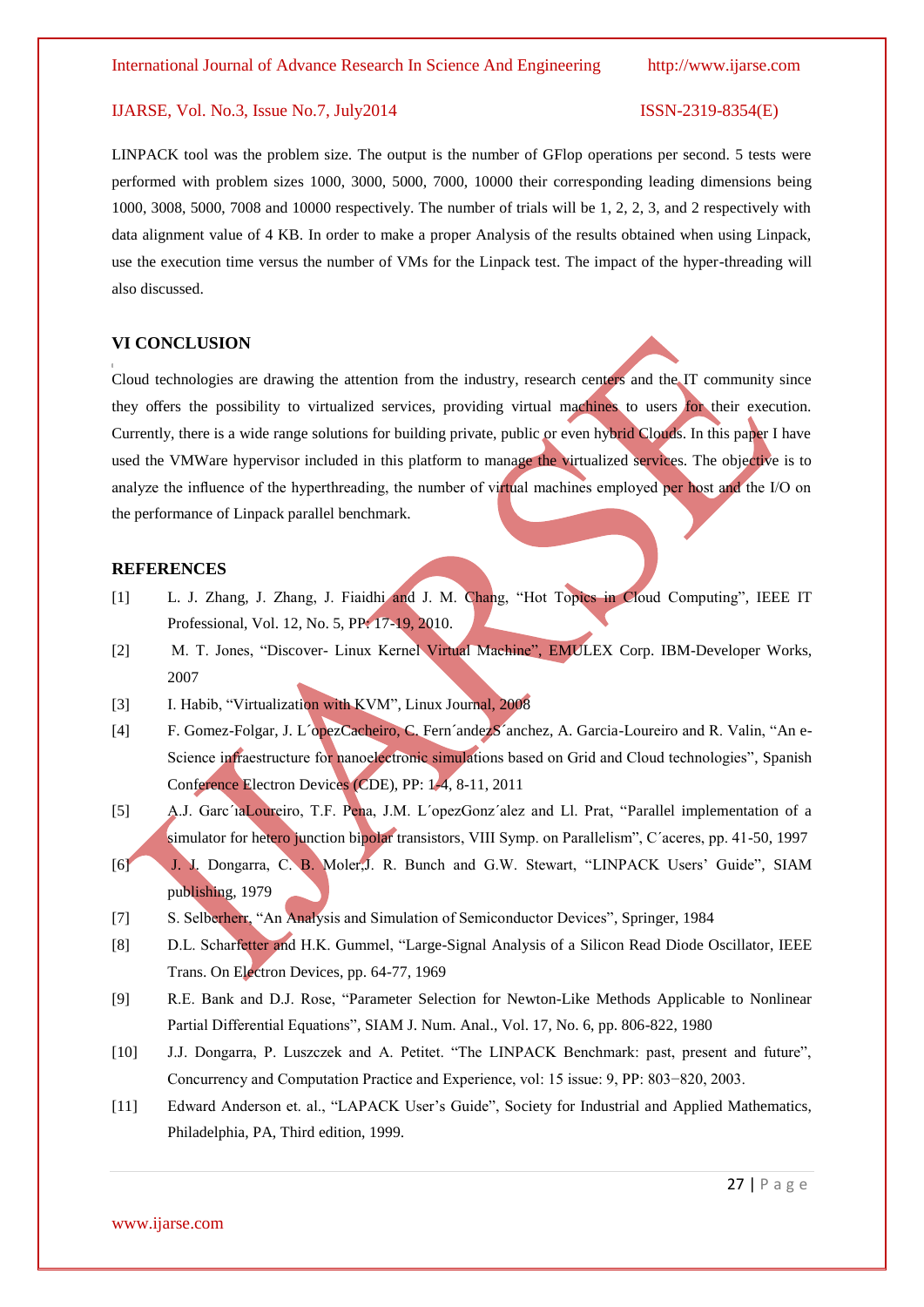LINPACK tool was the problem size. The output is the number of GFlop operations per second. 5 tests were performed with problem sizes 1000, 3000, 5000, 7000, 10000 their corresponding leading dimensions being 1000, 3008, 5000, 7008 and 10000 respectively. The number of trials will be 1, 2, 2, 3, and 2 respectively with data alignment value of 4 KB. In order to make a proper Analysis of the results obtained when using Linpack, use the execution time versus the number of VMs for the Linpack test. The impact of the hyper-threading will also discussed.

#### **VI CONCLUSION**

**[**

Cloud technologies are drawing the attention from the industry, research centers and the IT community since they offers the possibility to virtualized services, providing virtual machines to users for their execution. Currently, there is a wide range solutions for building private, public or even hybrid Clouds. In this paper I have used the VMWare hypervisor included in this platform to manage the virtualized services. The objective is to analyze the influence of the hyperthreading, the number of virtual machines employed per host and the I/O on the performance of Linpack parallel benchmark.

#### **REFERENCES**

- [1] L. J. Zhang, J. Zhang, J. Fiaidhi and J. M. Chang, "Hot Topics in Cloud Computing", IEEE IT Professional, Vol. 12, No. 5, PP: 17-19, 2010.
- [2] M. T. Jones, "Discover- Linux Kernel Virtual Machine", EMULEX Corp. IBM-Developer Works, 2007
- [3] I. Habib, "Virtualization with KVM", Linux Journal, 2008
- [4] F. Gomez-Folgar, J. L´opezCacheiro, C. Fern´andezS´anchez, A. Garcia-Loureiro and R. Valin, "An e-Science infraestructure for nanoelectronic simulations based on Grid and Cloud technologies", Spanish Conference Electron Devices (CDE), PP: 1-4, 8-11, 2011
- [5] A.J. Garc´ıaLoureiro, T.F. Pena, J.M. L´opezGonz´alez and Ll. Prat, "Parallel implementation of a simulator for hetero junction bipolar transistors, VIII Symp. on Parallelism", C´aceres, pp. 41-50, 1997
- [6] J. J. Dongarra, C. B. Moler,J. R. Bunch and G.W. Stewart, "LINPACK Users' Guide", SIAM publishing, 1979
- [7] S. Selberherr, "An Analysis and Simulation of Semiconductor Devices", Springer, 1984
- [8] D.L. Scharfetter and H.K. Gummel, "Large-Signal Analysis of a Silicon Read Diode Oscillator, IEEE Trans. On Electron Devices, pp. 64-77, 1969
- [9] R.E. Bank and D.J. Rose, "Parameter Selection for Newton-Like Methods Applicable to Nonlinear Partial Differential Equations", SIAM J. Num. Anal., Vol. 17, No. 6, pp. 806-822, 1980
- [10] J.J. Dongarra, P. Luszczek and A. Petitet. "The LINPACK Benchmark: past, present and future", Concurrency and Computation Practice and Experience, vol: 15 issue: 9, PP: 803−820, 2003.
- [11] Edward Anderson et. al., "LAPACK User's Guide", Society for Industrial and Applied Mathematics, Philadelphia, PA, Third edition, 1999.